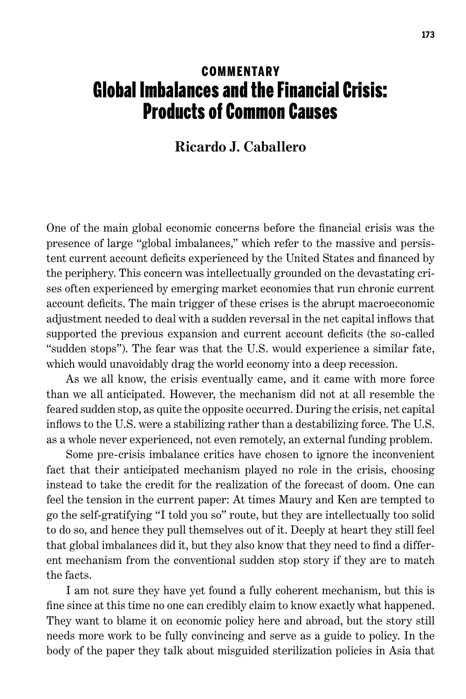## **COMMENTARY** Global Imbalances and the Financial Crisis: Products of Common Causes

## **Ricardo J. Caballero**

One of the main global economic concerns before the financial crisis was the presence of large "global imbalances," which refer to the massive and persistent current account deficits experienced by the United States and financed by the periphery. This concern was intellectually grounded on the devastating crises often experienced by emerging market economies that run chronic current account deficits. The main trigger of these crises is the abrupt macroeconomic adjustment needed to deal with a sudden reversal in the net capital inflows that supported the previous expansion and current account deficits (the so-called "sudden stops"). The fear was that the U.S. would experience a similar fate, which would unavoidably drag the world economy into a deep recession.

As we all know, the crisis eventually came, and it came with more force than we all anticipated. However, the mechanism did not at all resemble the feared sudden stop, as quite the opposite occurred. During the crisis, net capital inflows to the U.S. were a stabilizing rather than a destabilizing force. The U.S. as a whole never experienced, not even remotely, an external funding problem.

Some pre-crisis imbalance critics have chosen to ignore the inconvenient fact that their anticipated mechanism played no role in the crisis, choosing instead to take the credit for the realization of the forecast of doom. One can feel the tension in the current paper: At times Maury and Ken are tempted to go the self-gratifying "I told you so" route, but they are intellectually too solid to do so, and hence they pull themselves out of it. Deeply at heart they still feel that global imbalances did it, but they also know that they need to find a different mechanism from the conventional sudden stop story if they are to match the facts.

I am not sure they have yet found a fully coherent mechanism, but this is fine since at this time no one can credibly claim to know exactly what happened. They want to blame it on economic policy here and abroad, but the story still needs more work to be fully convincing and serve as a guide to policy. In the body of the paper they talk about misguided sterilization policies in Asia that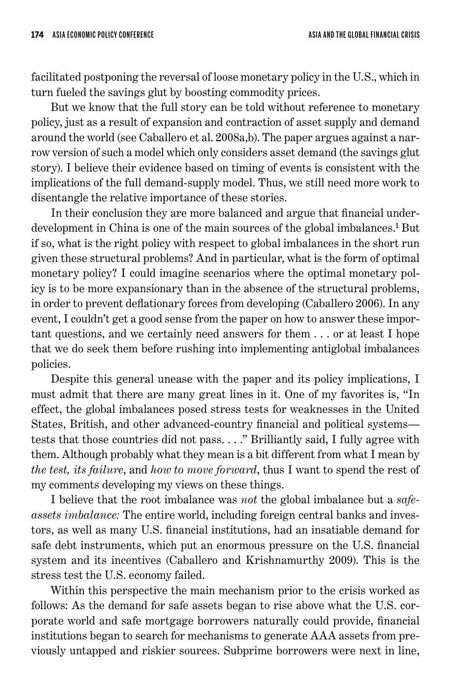facilitated postponing the reversal of loose monetary policy in the U.S., which in turn fueled the savings glut by boosting commodity prices.

But we know that the full story can be told without reference to monetary policy, just as a result of expansion and contraction of asset supply and demand around the world (see Caballero et al. 2008a,b). The paper argues against a narrow version of such a model which only considers asset demand (the savings glut story). I believe their evidence based on timing of events is consistent with the implications of the full demand-supply model. Thus, we still need more work to disentangle the relative importance of these stories.

In their conclusion they are more balanced and argue that financial underdevelopment in China is one of the main sources of the global imbalances.<sup>1</sup> But if so, what is the right policy with respect to global imbalances in the short run given these structural problems? And in particular, what is the form of optimal monetary policy? I could imagine scenarios where the optimal monetary policy is to be more expansionary than in the absence of the structural problems, in order to prevent deflationary forces from developing (Caballero 2006). In any event, I couldn't get a good sense from the paper on how to answer these important questions, and we certainly need answers for them ... or at least I hope that we do seek them before rushing into implementing antiglobal imbalances policies.

Despite this general unease with the paper and its policy implications, I must admit that there are many great lines in it. One of my favorites is, "In effect, the global imbalances posed stress tests for weaknesses in the United States, British, and other advanced-country financial and political systems tests that those countries did not pass...." Brilliantly said, I fully agree with them. Although probably what they mean is a bit different from what I mean by *the test, its failure*, and *how to move forward*, thus I want to spend the rest of my comments developing my views on these things.

I believe that the root imbalance was *not* the global imbalance but a *safeassets imbalance:* The entire world, including foreign central banks and investors, as well as many U.S. financial institutions, had an insatiable demand for safe debt instruments, which put an enormous pressure on the U.S. financial system and its incentives (Caballero and Krishnamurthy 2009). This is the stress test the U.S. economy failed.

Within this perspective the main mechanism prior to the crisis worked as follows: As the demand for safe assets began to rise above what the U.S. corporate world and safe mortgage borrowers naturally could provide, financial institutions began to search for mechanisms to generate AAA assets from previously untapped and riskier sources. Subprime borrowers were next in line,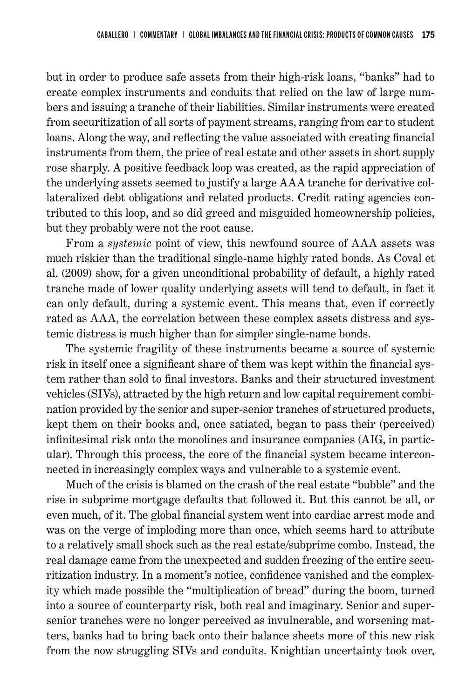but in order to produce safe assets from their high-risk loans, "banks" had to create complex instruments and conduits that relied on the law of large numbers and issuing a tranche of their liabilities. Similar instruments were created from securitization of all sorts of payment streams, ranging from car to student loans. Along the way, and reflecting the value associated with creating financial instruments from them, the price of real estate and other assets in short supply rose sharply. A positive feedback loop was created, as the rapid appreciation of the underlying assets seemed to justify a large AAA tranche for derivative collateralized debt obligations and related products. Credit rating agencies contributed to this loop, and so did greed and misguided homeownership policies, but they probably were not the root cause.

From a *systemic* point of view, this newfound source of AAA assets was much riskier than the traditional single-name highly rated bonds. As Coval et al. (2009) show, for a given unconditional probability of default, a highly rated tranche made of lower quality underlying assets will tend to default, in fact it can only default, during a systemic event. This means that, even if correctly rated as AAA, the correlation between these complex assets distress and systemic distress is much higher than for simpler single-name bonds.

The systemic fragility of these instruments became a source of systemic risk in itself once a significant share of them was kept within the financial system rather than sold to final investors. Banks and their structured investment vehicles (SIVs), attracted by the high return and low capital requirement combination provided by the senior and super-senior tranches of structured products, kept them on their books and, once satiated, began to pass their (perceived) infinitesimal risk onto the monolines and insurance companies (AIG, in particular). Through this process, the core of the financial system became interconnected in increasingly complex ways and vulnerable to a systemic event.

Much of the crisis is blamed on the crash of the real estate "bubble" and the rise in subprime mortgage defaults that followed it. But this cannot be all, or even much, of it. The global financial system went into cardiac arrest mode and was on the verge of imploding more than once, which seems hard to attribute to a relatively small shock such as the real estate/subprime combo. Instead, the real damage came from the unexpected and sudden freezing of the entire securitization industry. In a moment's notice, confidence vanished and the complexity which made possible the "multiplication of bread" during the boom, turned into a source of counterparty risk, both real and imaginary. Senior and supersenior tranches were no longer perceived as invulnerable, and worsening matters, banks had to bring back onto their balance sheets more of this new risk from the now struggling SIVs and conduits. Knightian uncertainty took over,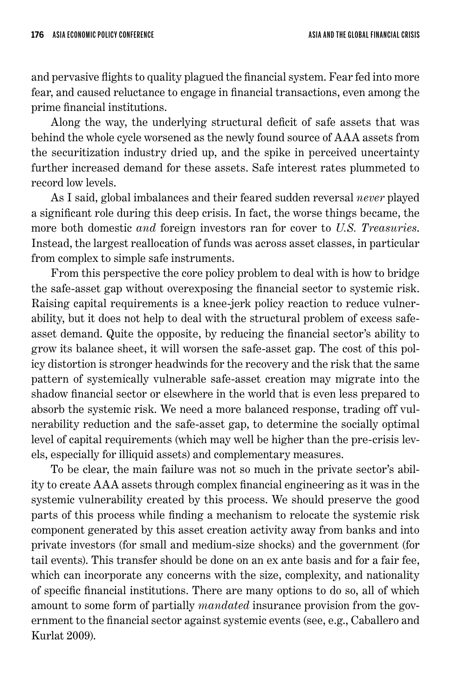and pervasive flights to quality plagued the financial system. Fear fed into more fear, and caused reluctance to engage in financial transactions, even among the prime financial institutions.

Along the way, the underlying structural deficit of safe assets that was behind the whole cycle worsened as the newly found source of AAA assets from the securitization industry dried up, and the spike in perceived uncertainty further increased demand for these assets. Safe interest rates plummeted to record low levels.

As I said, global imbalances and their feared sudden reversal *never* played a significant role during this deep crisis. In fact, the worse things became, the more both domestic *and* foreign investors ran for cover to *U.S. Treasuries*. Instead, the largest reallocation of funds was across asset classes, in particular from complex to simple safe instruments.

From this perspective the core policy problem to deal with is how to bridge the safe-asset gap without overexposing the financial sector to systemic risk. Raising capital requirements is a knee-jerk policy reaction to reduce vulnerability, but it does not help to deal with the structural problem of excess safeasset demand. Quite the opposite, by reducing the financial sector's ability to grow its balance sheet, it will worsen the safe-asset gap. The cost of this policy distortion is stronger headwinds for the recovery and the risk that the same pattern of systemically vulnerable safe-asset creation may migrate into the shadow financial sector or elsewhere in the world that is even less prepared to absorb the systemic risk. We need a more balanced response, trading off vulnerability reduction and the safe-asset gap, to determine the socially optimal level of capital requirements (which may well be higher than the pre-crisis levels, especially for illiquid assets) and complementary measures.

To be clear, the main failure was not so much in the private sector's ability to create AAA assets through complex financial engineering as it was in the systemic vulnerability created by this process. We should preserve the good parts of this process while finding a mechanism to relocate the systemic risk component generated by this asset creation activity away from banks and into private investors (for small and medium-size shocks) and the government (for tail events). This transfer should be done on an ex ante basis and for a fair fee, which can incorporate any concerns with the size, complexity, and nationality of specific financial institutions. There are many options to do so, all of which amount to some form of partially *mandated* insurance provision from the government to the financial sector against systemic events (see, e.g., Caballero and Kurlat 2009).